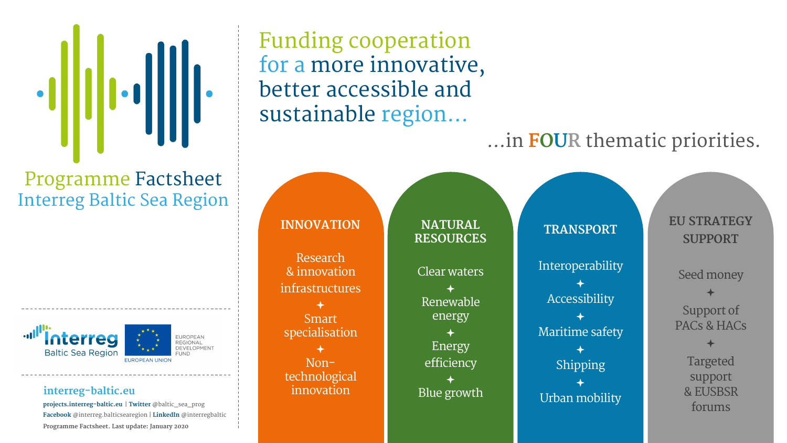**projects.interreg-baltic.eu** | **Twitter** @baltic\_sea\_prog **Facebook** @interreg.balticsearegion | **LinkedIn** @interregbaltic **Programme Factsheet. Last update: January 2020**

### Programme Factsheet Interreg Baltic Sea Region





**EUROPEAN REGIONA** DEVELOPMENT

Funding cooperation for a more innovative, better accessible and sustainable region…

### **INNOVATION**

Research & innovation infrastructures

ª Smart specialisation

ª Nontechnological innovation

**NATURAL RESOURCES** Clear waters ª Renewable energy ª Energy efficiency ª Blue growth

**TRANSPORT** 

Interoperability ª **Accessibility** ª Maritime safety ª Shipping ª Urban mobility

**EU STRATEGY SUPPORT**

Seed money

ª Support of PACs & HACs

> ª Targeted support & EUSBSR forums



## …in **FOUR** thematic priorities.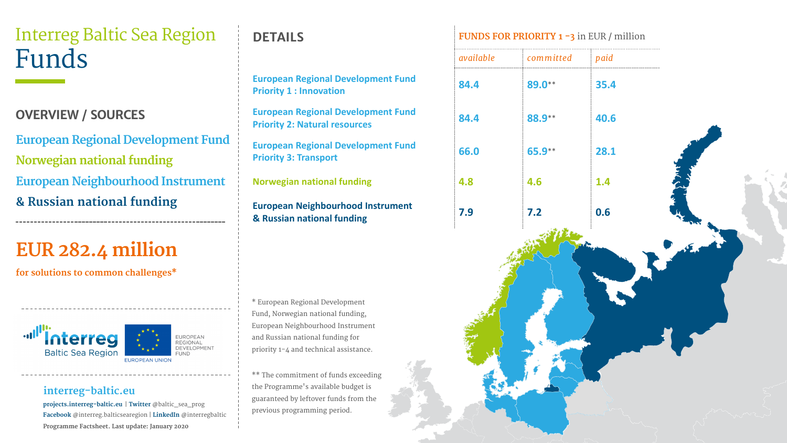**projects.interreg-baltic.eu** | **Twitter** @baltic\_sea\_prog **Facebook** @interreg.balticsearegion | **LinkedIn** @interregbaltic **Programme Factsheet. Last update: January 2020**

**European Regional Develop Priority 1 : Innovation** 

**European Regional Develop Priority 2: Natural resources** 

**European Regional Development Fund Norwegian national funding European Neighbourhood Instrument & Russian national funding**

## **EUR 282.4 million**

**for solutions to common challenges\***

# **Baltic Sea Regior**



**European Regional Develop Priority 3: Transport 66.0 65.9**\*\* **28.1**

EUROPEAN **REGIONAL** DEVELOPMENT

### **OVERVIEW / SOURCES**

**European Neighbourhood I & Russian national funding 7.9 7.2 0.6**

\* European Regional Development Fund, Norwegian national funding, European Neighbourhood Instrume and Russian national funding for priority 1-4 and technical assistance

|                                | available | committed | paid |           |
|--------------------------------|-----------|-----------|------|-----------|
| <b>Iment Fund</b>              | 84.4      | 89.0**    | 35.4 |           |
| <b>Iment Fund</b><br>S         | 84.4      | 88.9**    | 40.6 |           |
| <b>oment Fund</b>              | 66.0      | 65.9**    | 28.1 |           |
| g                              | 4.8       | 4.6       | 1.4  |           |
| nstrument                      | 7.9       | 7.2       | 0.6  | AS THE ST |
| nt<br>e.<br>ding               |           |           |      |           |
| $\overline{\mathsf{S}}$<br>he: |           |           |      |           |



\*\* The commitment of funds exceeding the Programme's available budget is guaranteed by leftover funds from t previous programming period.

### **DETAILS FUNDS FOR PRIORITY 1 -3** in EUR / million

**Norwegian national funding 4.8 4.6 1.4**

## Interreg Baltic Sea Region Funds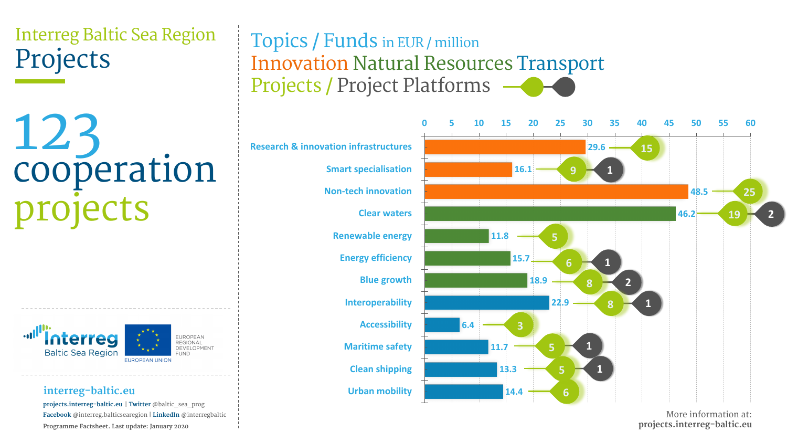**projects.interreg-baltic.eu** | **Twitter** @baltic\_sea\_prog **Facebook** @interreg.balticsearegion | **LinkedIn** @interregbaltic **Programme Factsheet. Last update: January 2020**

**Research & innovation infrastructures**

## Innovation Natural Resources Transport Projects / Project Platforms

**Non-tech innovation**







**2**



# 123 cooperation projects

## Interreg Baltic Sea Region Projects

**25**

Topics / Funds in EUR / million

More information at: **projects.interreg-baltic.eu**

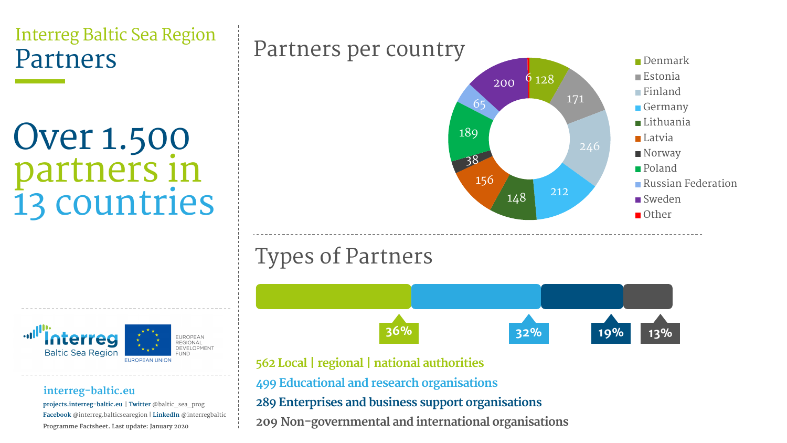**projects.interreg-baltic.eu** | **Twitter** @baltic\_sea\_prog **Facebook** @interreg.balticsearegion | **LinkedIn** @interregbaltic **Programme Factsheet. Last update: January 2020**

## Over 1.500 partners in 13 countries

## Interreg Baltic Sea Region Partners



- **562 Local | regional | national authorities**
- **499 Educational and research organisations**
- **289 Enterprises and business support organisations**
- **209 Non-governmental and international organisations**

## Types of Partners





**EUROPEAN REGIONAL** DEVELOPMENT



## Partners per country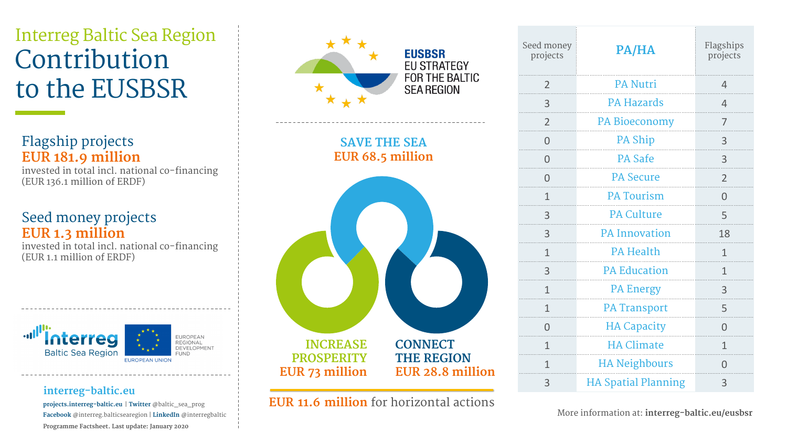**projects.interreg-baltic.eu** | **Twitter** @baltic\_sea\_prog **Facebook** @interreg.balticsearegion | **LinkedIn** @interregbaltic **Programme Factsheet. Last update: January 2020**



## Interreg Baltic Sea Region Contribution to the EUSBSR

**SAVE THE SEA EUR 68.5 million**

**INCREASE PROSPERITY EUR 73 million**



| Seed money<br>projects | PA/HA                      | Flagships<br>projects |
|------------------------|----------------------------|-----------------------|
| $\mathbf{Z}$           | PA Nutri                   |                       |
| 3                      | <b>PA Hazards</b>          | 4                     |
| $\overline{2}$         | <b>PA Bioeconomy</b>       | 7                     |
| O                      | <b>PA Ship</b>             | 3                     |
| $\Box$                 | <b>PA Safe</b>             | 3                     |
|                        | <b>PA Secure</b>           | $\mathcal{P}$         |
| 1                      | <b>PA Tourism</b>          |                       |
|                        | <b>PA Culture</b>          | Ь                     |
| 3                      | <b>PA Innovation</b>       | 18                    |
| $\mathbf 1$            | <b>PA Health</b>           | 1                     |
| 3                      | <b>PA Education</b>        | 1                     |
| 1                      | <b>PA Energy</b>           | 3                     |
| 1                      | <b>PA Transport</b>        | 5                     |
| $\bigcap$              | <b>HA Capacity</b>         | $\bigcap$             |
| 1                      | <b>HA Climate</b>          | 1                     |
| 1                      | <b>HA Neighbours</b>       |                       |
| 3                      | <b>HA Spatial Planning</b> | 3                     |

### Flagship projects **EUR 181.9 million**

invested in total incl. national co-financing (EUR 136.1 million of ERDF)

### Seed money projects **EUR 1.3 million**

invested in total incl. national co-financing (EUR 1.1 million of ERDF)





**EUROPEAN REGIONAL** DEVELOPMENT **FUND** 

More information at: **interreg-baltic.eu/eusbsr**

| $\overline{\text{S}}$<br>S |  |          |  |  |    |
|----------------------------|--|----------|--|--|----|
| .                          |  |          |  |  | j  |
| .                          |  |          |  |  |    |
| Ω,                         |  | $\cdots$ |  |  | J, |
|                            |  |          |  |  | .  |
| .,                         |  | .        |  |  | J, |
| .                          |  |          |  |  |    |
| $\ddot{\phantom{0}}$       |  | ò,       |  |  |    |
|                            |  |          |  |  |    |
|                            |  |          |  |  |    |
|                            |  |          |  |  |    |
|                            |  |          |  |  |    |
|                            |  |          |  |  |    |
|                            |  |          |  |  |    |
|                            |  |          |  |  |    |
|                            |  |          |  |  |    |
|                            |  |          |  |  |    |
|                            |  |          |  |  |    |
|                            |  |          |  |  |    |

**EUR 11.6 million** for horizontal actions